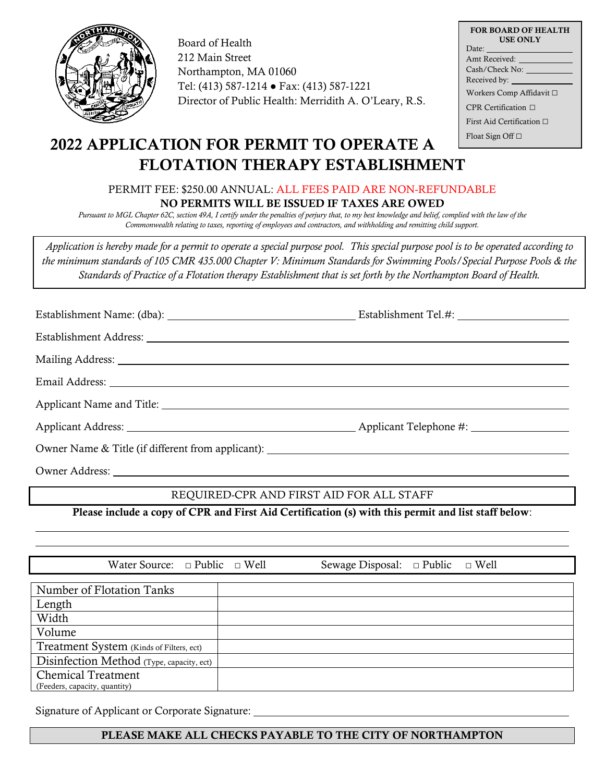

Board of Health 212 Main Street Northampton, MA 01060 Tel: (413) 587-1214 ● Fax: (413) 587-1221 Director of Public Health: Merridith A. O'Leary, R.S.

| <b>FOR BOARD OF HEALTH</b><br><b>USE ONLY</b> |
|-----------------------------------------------|
| Date:                                         |
| Amt Received:                                 |
| Cash/Check No:                                |
| Received by:                                  |
| Workers Comp Affidavit □                      |
| CPR Certification $\Box$                      |
| First Aid Certification $\Box$                |
| Float Sign Off $\Box$                         |

## 2022 APPLICATION FOR PERMIT TO OPERATE A FLOTATION THERAPY ESTABLISHMENT

PERMIT FEE: \$250.00 ANNUAL: ALL FEES PAID ARE NON-REFUNDABLE NO PERMITS WILL BE ISSUED IF TAXES ARE OWED

*Pursuant to MGL Chapter 62C, section 49A, I certify under the penalties of perjury that, to my best knowledge and belief, complied with the law of the Commonwealth relating to taxes, reporting of employees and contractors, and withholding and remitting child support.*

*Application is hereby made for a permit to operate a special purpose pool. This special purpose pool is to be operated according to the minimum standards of 105 CMR 435.000 Chapter V: Minimum Standards for Swimming Pools/Special Purpose Pools & the Standards of Practice of a Flotation therapy Establishment that is set forth by the Northampton Board of Health.*

| Owner Name & Title (if different from applicant): _______________________________ |  |
|-----------------------------------------------------------------------------------|--|

Owner Address: l

REQUIRED-CPR AND FIRST AID FOR ALL STAFF

Please include a copy of CPR and First Aid Certification (s) with this permit and list staff below:

| Water Source: $\Box$ Public $\Box$ Well   | Sewage Disposal: $\Box$ Public $\Box$ Well |  |
|-------------------------------------------|--------------------------------------------|--|
|                                           |                                            |  |
| <b>Number of Flotation Tanks</b>          |                                            |  |
| Length                                    |                                            |  |
| Width                                     |                                            |  |
| Volume                                    |                                            |  |
| Treatment System (Kinds of Filters, ect)  |                                            |  |
| Disinfection Method (Type, capacity, ect) |                                            |  |
| <b>Chemical Treatment</b>                 |                                            |  |
| (Feeders, capacity, quantity)             |                                            |  |

Signature of Applicant or Corporate Signature:

## PLEASE MAKE ALL CHECKS PAYABLE TO THE CITY OF NORTHAMPTON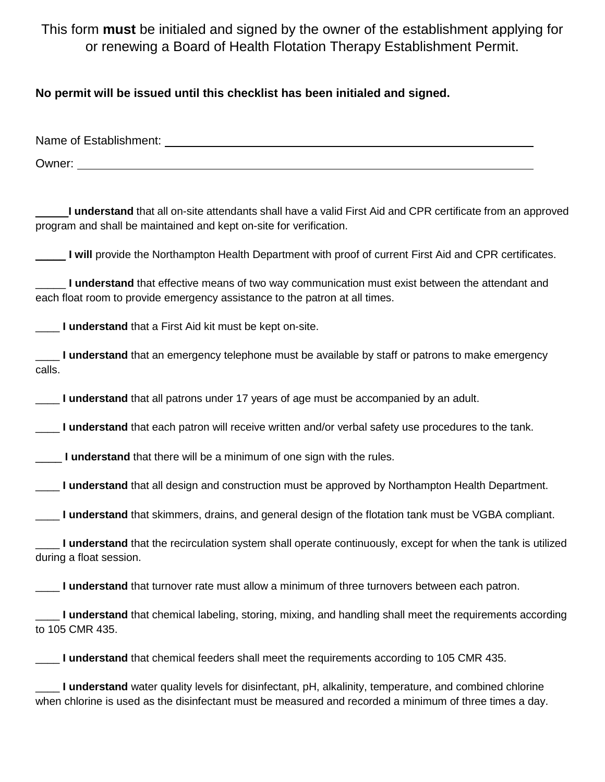This form **must** be initialed and signed by the owner of the establishment applying for or renewing a Board of Health Flotation Therapy Establishment Permit.

**No permit will be issued until this checklist has been initialed and signed.** 

Name of Establishment: Owner:

\_\_\_\_\_**I understand** that all on-site attendants shall have a valid First Aid and CPR certificate from an approved program and shall be maintained and kept on-site for verification.

\_\_\_\_\_ **I will** provide the Northampton Health Department with proof of current First Aid and CPR certificates.

\_\_\_\_\_ **I understand** that effective means of two way communication must exist between the attendant and each float room to provide emergency assistance to the patron at all times.

**I understand** that a First Aid kit must be kept on-site.

\_\_\_\_ **I understand** that an emergency telephone must be available by staff or patrons to make emergency calls.

**I understand** that all patrons under 17 years of age must be accompanied by an adult.

\_\_\_\_ **I understand** that each patron will receive written and/or verbal safety use procedures to the tank.

**I understand** that there will be a minimum of one sign with the rules.

**I understand** that all design and construction must be approved by Northampton Health Department.

\_\_\_\_ **I understand** that skimmers, drains, and general design of the flotation tank must be VGBA compliant.

\_\_\_\_ **I understand** that the recirculation system shall operate continuously, except for when the tank is utilized during a float session.

\_\_\_\_ **I understand** that turnover rate must allow a minimum of three turnovers between each patron.

**I understand** that chemical labeling, storing, mixing, and handling shall meet the requirements according to 105 CMR 435.

\_\_\_\_ **I understand** that chemical feeders shall meet the requirements according to 105 CMR 435.

\_\_\_\_ **I understand** water quality levels for disinfectant, pH, alkalinity, temperature, and combined chlorine when chlorine is used as the disinfectant must be measured and recorded a minimum of three times a day.